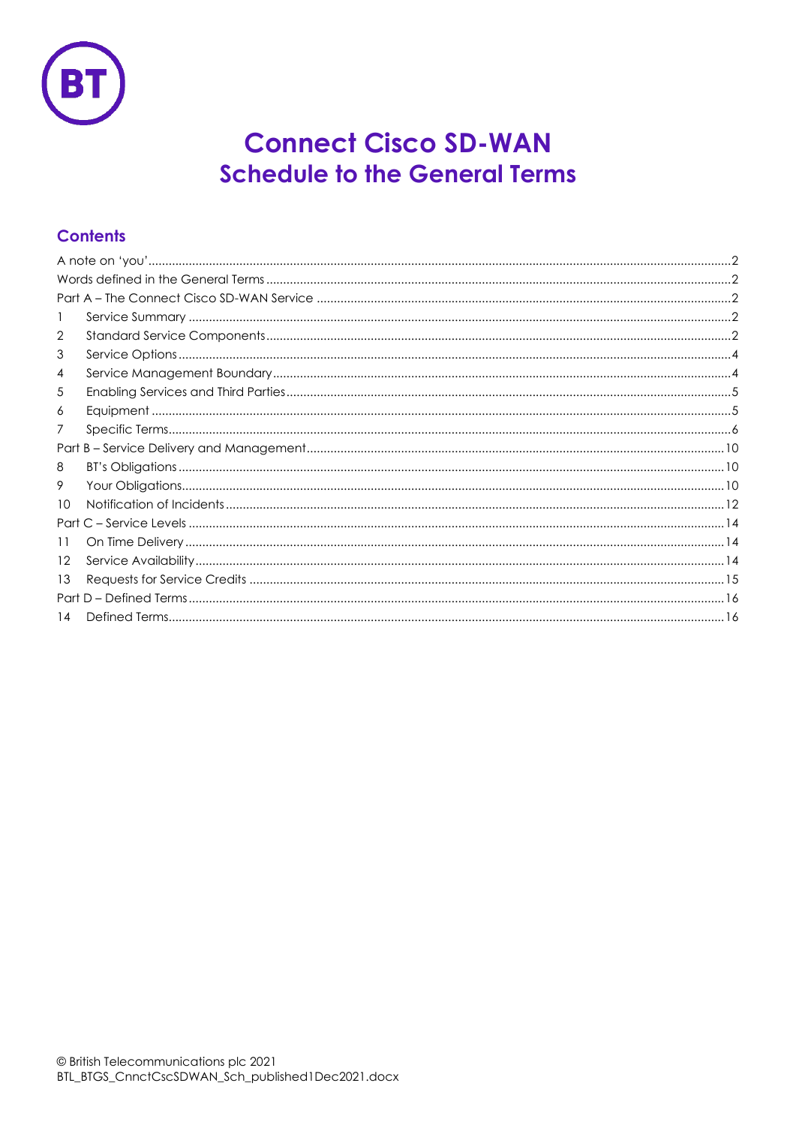

# **Connect Cisco SD-WAN Schedule to the General Terms**

# **Contents**

| 2       |  |  |  |
|---------|--|--|--|
| 3       |  |  |  |
| 4       |  |  |  |
| 5       |  |  |  |
| 6       |  |  |  |
| 7       |  |  |  |
|         |  |  |  |
| 8       |  |  |  |
| 9       |  |  |  |
| 10      |  |  |  |
|         |  |  |  |
| 11      |  |  |  |
| $12 \,$ |  |  |  |
| 13      |  |  |  |
|         |  |  |  |
| 14      |  |  |  |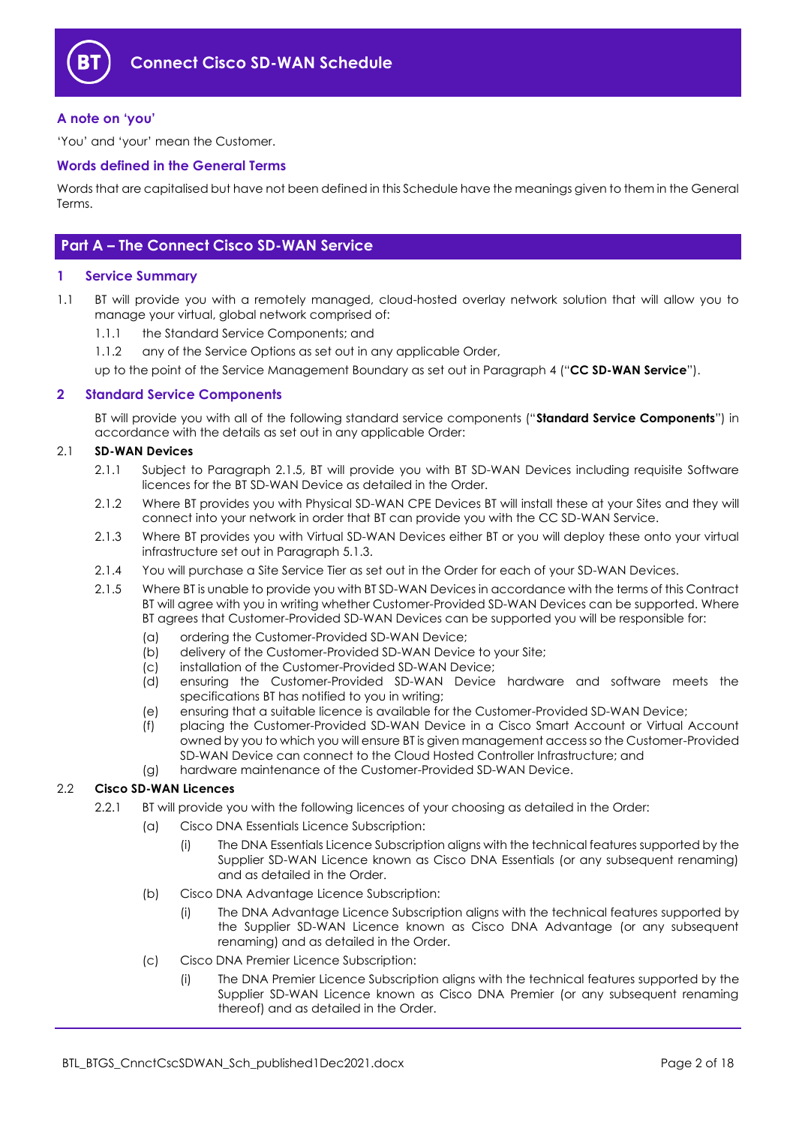

## <span id="page-1-0"></span>**A note on 'you'**

'You' and 'your' mean the Customer.

#### <span id="page-1-1"></span>**Words defined in the General Terms**

Words that are capitalised but have not been defined in this Schedule have the meanings given to them in the General Terms.

# <span id="page-1-2"></span>**Part A – The Connect Cisco SD-WAN Service**

#### <span id="page-1-3"></span>**1 Service Summary**

- 1.1 BT will provide you with a remotely managed, cloud-hosted overlay network solution that will allow you to manage your virtual, global network comprised of:
	- 1.1.1 the Standard Service Components; and
	- 1.1.2 any of the Service Options as set out in any applicable Order,

up to the point of the Service Management Boundary as set out in Paragraph [4](#page-3-1) ("**CC SD-WAN Service**").

#### <span id="page-1-4"></span>**2 Standard Service Components**

BT will provide you with all of the following standard service components ("**Standard Service Components**") in accordance with the details as set out in any applicable Order:

## <span id="page-1-6"></span>2.1 **SD-WAN Devices**

- 2.1.1 Subject to Paragraph [2.1.5,](#page-1-5) BT will provide you with BT SD-WAN Devices including requisite Software licences for the BT SD-WAN Device as detailed in the Order.
- 2.1.2 Where BT provides you with Physical SD-WAN CPE Devices BT will install these at your Sites and they will connect into your network in order that BT can provide you with the CC SD-WAN Service.
- 2.1.3 Where BT provides you with Virtual SD-WAN Devices either BT or you will deploy these onto your virtual infrastructure set out in Paragraph [5.1.3.](#page-4-2)
- 2.1.4 You will purchase a Site Service Tier as set out in the Order for each of your SD-WAN Devices.
- <span id="page-1-5"></span>2.1.5 Where BT is unable to provide you with BT SD-WAN Devices in accordance with the terms of this Contract BT will agree with you in writing whether Customer-Provided SD-WAN Devices can be supported. Where BT agrees that Customer-Provided SD-WAN Devices can be supported you will be responsible for:
	- (a) ordering the Customer-Provided SD-WAN Device;
	- (b) delivery of the Customer-Provided SD-WAN Device to your Site;
	- (c) installation of the Customer-Provided SD-WAN Device;
	- (d) ensuring the Customer-Provided SD-WAN Device hardware and software meets the specifications BT has notified to you in writing;
	- (e) ensuring that a suitable licence is available for the Customer-Provided SD-WAN Device;
	- (f) placing the Customer-Provided SD-WAN Device in a Cisco Smart Account or Virtual Account owned by you to which you will ensure BT is given management access so the Customer-Provided SD-WAN Device can connect to the Cloud Hosted Controller Infrastructure; and
	- (g) hardware maintenance of the Customer-Provided SD-WAN Device.

#### 2.2 **Cisco SD-WAN Licences**

- 2.2.1 BT will provide you with the following licences of your choosing as detailed in the Order:
	- (a) Cisco DNA Essentials Licence Subscription:
		- (i) The DNA Essentials Licence Subscription aligns with the technical features supported by the Supplier SD-WAN Licence known as Cisco DNA Essentials (or any subsequent renaming) and as detailed in the Order.
	- (b) Cisco DNA Advantage Licence Subscription:
		- (i) The DNA Advantage Licence Subscription aligns with the technical features supported by the Supplier SD-WAN Licence known as Cisco DNA Advantage (or any subsequent renaming) and as detailed in the Order.
	- (c) Cisco DNA Premier Licence Subscription:
		- (i) The DNA Premier Licence Subscription aligns with the technical features supported by the Supplier SD-WAN Licence known as Cisco DNA Premier (or any subsequent renaming thereof) and as detailed in the Order.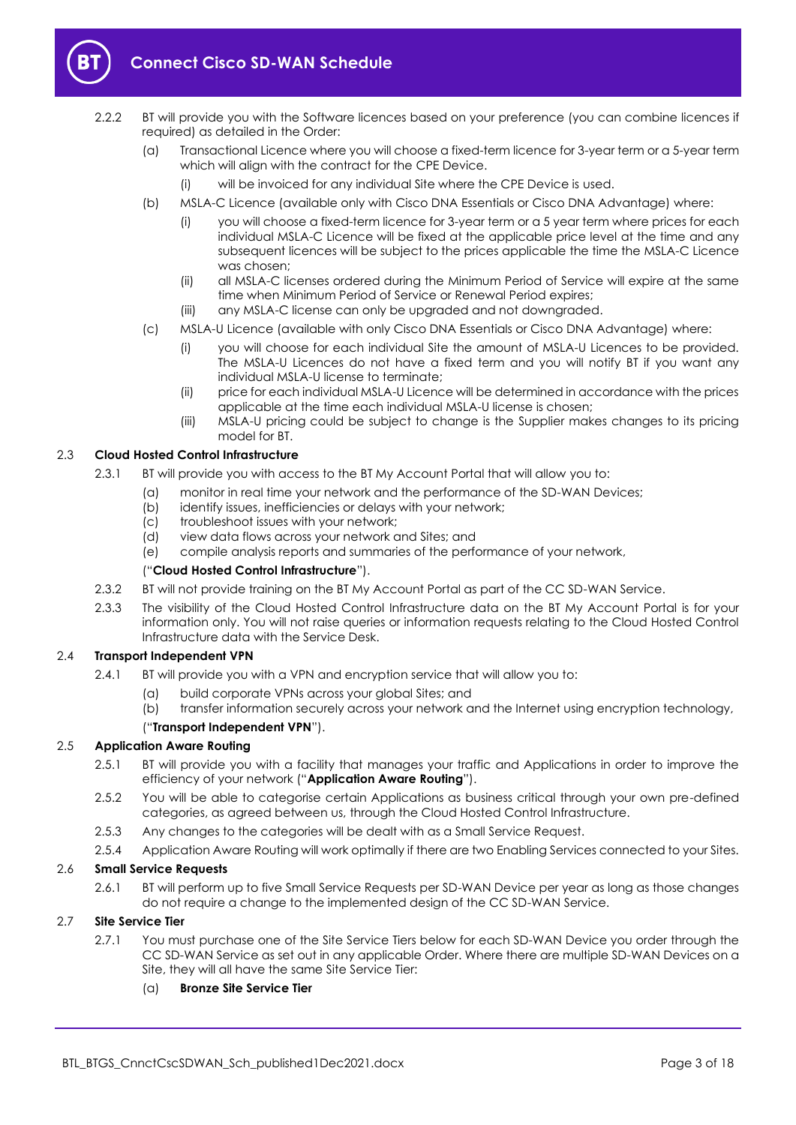

- 2.2.2 BT will provide you with the Software licences based on your preference (you can combine licences if required) as detailed in the Order:
	- (a) Transactional Licence where you will choose a fixed-term licence for 3-year term or a 5-year term which will align with the contract for the CPE Device.
		- (i) will be invoiced for any individual Site where the CPE Device is used.
	- (b) MSLA-C Licence (available only with Cisco DNA Essentials or Cisco DNA Advantage) where:
		- (i) you will choose a fixed-term licence for 3-year term or a 5 year term where prices for each individual MSLA-C Licence will be fixed at the applicable price level at the time and any subsequent licences will be subject to the prices applicable the time the MSLA-C Licence was chosen;
		- (ii) all MSLA-C licenses ordered during the Minimum Period of Service will expire at the same time when Minimum Period of Service or Renewal Period expires;
		- (iii) any MSLA-C license can only be upgraded and not downgraded.
	- (c) MSLA-U Licence (available with only Cisco DNA Essentials or Cisco DNA Advantage) where:
		- (i) you will choose for each individual Site the amount of MSLA-U Licences to be provided. The MSLA-U Licences do not have a fixed term and you will notify BT if you want any individual MSLA-U license to terminate;
		- (ii) price for each individual MSLA-U Licence will be determined in accordance with the prices applicable at the time each individual MSLA-U license is chosen;
		- (iii) MSLA-U pricing could be subject to change is the Supplier makes changes to its pricing model for BT.

## <span id="page-2-2"></span>2.3 **Cloud Hosted Control Infrastructure**

- 2.3.1 BT will provide you with access to the BT My Account Portal that will allow you to:
	- (a) monitor in real time your network and the performance of the SD-WAN Devices;
	- (b) identify issues, inefficiencies or delays with your network;
	- (c) troubleshoot issues with your network;
	- (d) view data flows across your network and Sites; and
	- (e) compile analysis reports and summaries of the performance of your network,

#### ("**Cloud Hosted Control Infrastructure**").

- 2.3.2 BT will not provide training on the BT My Account Portal as part of the CC SD-WAN Service.
- 2.3.3 The visibility of the Cloud Hosted Control Infrastructure data on the BT My Account Portal is for your information only. You will not raise queries or information requests relating to the Cloud Hosted Control Infrastructure data with the Service Desk.

#### 2.4 **Transport Independent VPN**

- 2.4.1 BT will provide you with a VPN and encryption service that will allow you to:
	- (a) build corporate VPNs across your global Sites; and
	- (b) transfer information securely across your network and the Internet using encryption technology,

# ("**Transport Independent VPN**").

#### <span id="page-2-1"></span><span id="page-2-0"></span>2.5 **Application Aware Routing**

- 2.5.1 BT will provide you with a facility that manages your traffic and Applications in order to improve the efficiency of your network ("**Application Aware Routing**").
- 2.5.2 You will be able to categorise certain Applications as business critical through your own pre-defined categories, as agreed between us, through the Cloud Hosted Control Infrastructure.
- 2.5.3 Any changes to the categories will be dealt with as a Small Service Request.
- 2.5.4 Application Aware Routing will work optimally if there are two Enabling Services connected to your Sites.

#### 2.6 **Small Service Requests**

2.6.1 BT will perform up to five Small Service Requests per SD-WAN Device per year as long as those changes do not require a change to the implemented design of the CC SD-WAN Service.

# 2.7 **Site Service Tier**

2.7.1 You must purchase one of the Site Service Tiers below for each SD-WAN Device you order through the CC SD-WAN Service as set out in any applicable Order. Where there are multiple SD-WAN Devices on a Site, they will all have the same Site Service Tier:

#### (a) **Bronze Site Service Tier**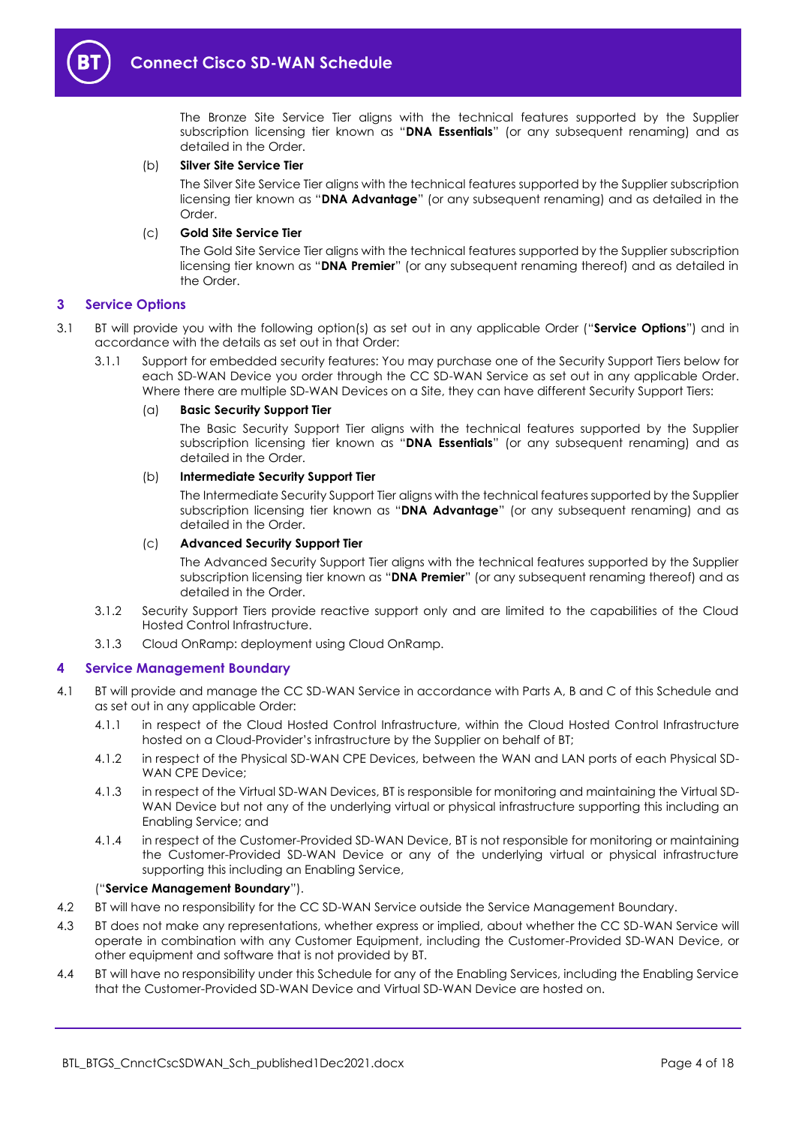

The Bronze Site Service Tier aligns with the technical features supported by the Supplier subscription licensing tier known as "**DNA Essentials**" (or any subsequent renaming) and as detailed in the Order.

#### (b) **Silver Site Service Tier**

The Silver Site Service Tier aligns with the technical features supported by the Supplier subscription licensing tier known as "**DNA Advantage**" (or any subsequent renaming) and as detailed in the Order.

#### (c) **Gold Site Service Tier**

The Gold Site Service Tier aligns with the technical features supported by the Supplier subscription licensing tier known as "**DNA Premier**" (or any subsequent renaming thereof) and as detailed in the Order.

#### <span id="page-3-0"></span>**3 Service Options**

- 3.1 BT will provide you with the following option(s) as set out in any applicable Order ("**Service Options**") and in accordance with the details as set out in that Order:
	- 3.1.1 Support for embedded security features: You may purchase one of the Security Support Tiers below for each SD-WAN Device you order through the CC SD-WAN Service as set out in any applicable Order. Where there are multiple SD-WAN Devices on a Site, they can have different Security Support Tiers:

#### (a) **Basic Security Support Tier**

The Basic Security Support Tier aligns with the technical features supported by the Supplier subscription licensing tier known as "**DNA Essentials**" (or any subsequent renaming) and as detailed in the Order.

#### (b) **Intermediate Security Support Tier**

The Intermediate Security Support Tier aligns with the technical features supported by the Supplier subscription licensing tier known as "**DNA Advantage**" (or any subsequent renaming) and as detailed in the Order.

#### (c) **Advanced Security Support Tier**

The Advanced Security Support Tier aligns with the technical features supported by the Supplier subscription licensing tier known as "**DNA Premier**" (or any subsequent renaming thereof) and as detailed in the Order.

- 3.1.2 Security Support Tiers provide reactive support only and are limited to the capabilities of the Cloud Hosted Control Infrastructure.
- 3.1.3 Cloud OnRamp: deployment using Cloud OnRamp.

#### <span id="page-3-1"></span>**4 Service Management Boundary**

- <span id="page-3-2"></span>4.1 BT will provide and manage the CC SD-WAN Service in accordance with Parts A, B and C of this Schedule and as set out in any applicable Order:
	- 4.1.1 in respect of the Cloud Hosted Control Infrastructure, within the Cloud Hosted Control Infrastructure hosted on a Cloud-Provider's infrastructure by the Supplier on behalf of BT;
	- 4.1.2 in respect of the Physical SD-WAN CPE Devices, between the WAN and LAN ports of each Physical SD-WAN CPE Device;
	- 4.1.3 in respect of the Virtual SD-WAN Devices, BT is responsible for monitoring and maintaining the Virtual SD-WAN Device but not any of the underlying virtual or physical infrastructure supporting this including an Enabling Service; and
	- 4.1.4 in respect of the Customer-Provided SD-WAN Device, BT is not responsible for monitoring or maintaining the Customer-Provided SD-WAN Device or any of the underlying virtual or physical infrastructure supporting this including an Enabling Service,

#### ("**Service Management Boundary**").

- 4.2 BT will have no responsibility for the CC SD-WAN Service outside the Service Management Boundary.
- 4.3 BT does not make any representations, whether express or implied, about whether the CC SD-WAN Service will operate in combination with any Customer Equipment, including the Customer-Provided SD-WAN Device, or other equipment and software that is not provided by BT.
- 4.4 BT will have no responsibility under this Schedule for any of the Enabling Services, including the Enabling Service that the Customer-Provided SD-WAN Device and Virtual SD-WAN Device are hosted on.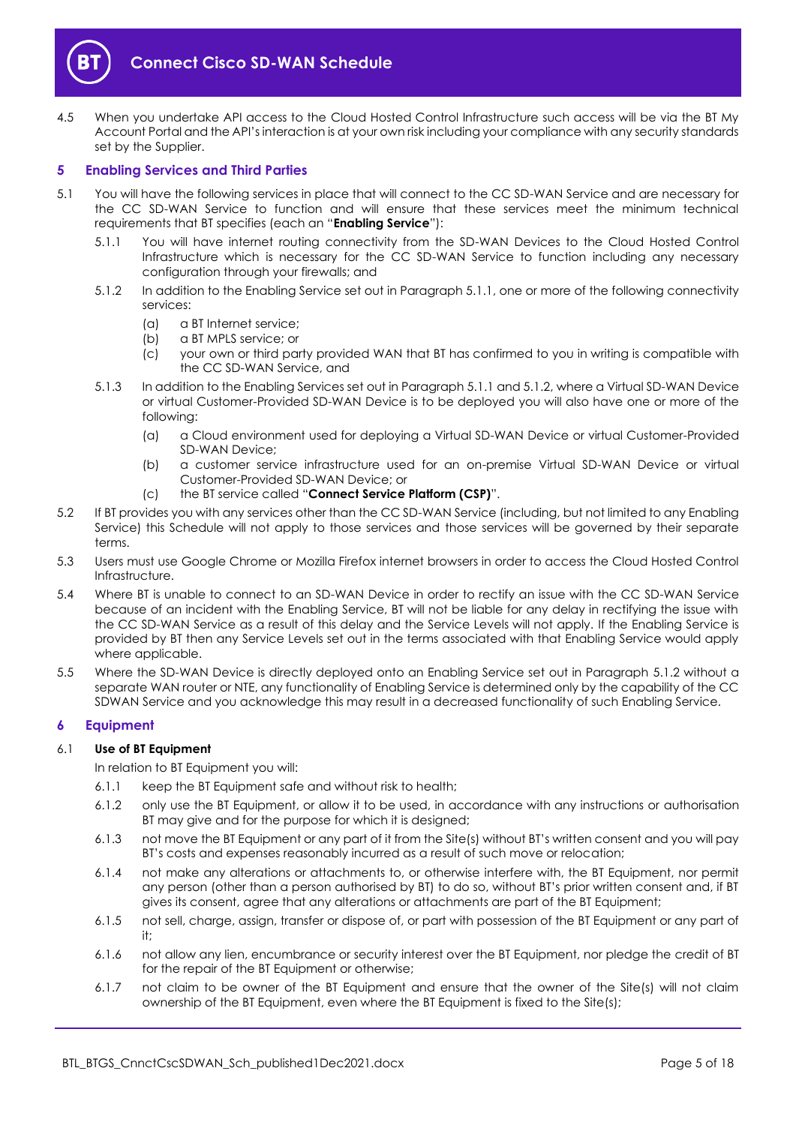

4.5 When you undertake API access to the Cloud Hosted Control Infrastructure such access will be via the BT My Account Portal and the API's interaction is at your own risk including your compliance with any security standards set by the Supplier.

#### <span id="page-4-0"></span>**5 Enabling Services and Third Parties**

- <span id="page-4-6"></span><span id="page-4-4"></span><span id="page-4-3"></span>5.1 You will have the following services in place that will connect to the CC SD-WAN Service and are necessary for the CC SD-WAN Service to function and will ensure that these services meet the minimum technical requirements that BT specifies (each an "**Enabling Service**"):
	- 5.1.1 You will have internet routing connectivity from the SD-WAN Devices to the Cloud Hosted Control Infrastructure which is necessary for the CC SD-WAN Service to function including any necessary configuration through your firewalls; and
	- 5.1.2 In addition to the Enabling Service set out in Paragrap[h 5.1.1,](#page-4-3) one or more of the following connectivity services:
		- (a) a BT Internet service;
		- (b) a BT MPLS service; or
		- (c) your own or third party provided WAN that BT has confirmed to you in writing is compatible with the CC SD-WAN Service, and
	- 5.1.3 In addition to the Enabling Services set out in Paragrap[h 5.1.1](#page-4-3) an[d 5.1.2,](#page-4-4) where a Virtual SD-WAN Device or virtual Customer-Provided SD-WAN Device is to be deployed you will also have one or more of the following:
		- (a) a Cloud environment used for deploying a Virtual SD-WAN Device or virtual Customer-Provided SD-WAN Device;
		- (b) a customer service infrastructure used for an on-premise Virtual SD-WAN Device or virtual Customer-Provided SD-WAN Device; or
		- (c) the BT service called "**Connect Service Platform (CSP)**".
- <span id="page-4-5"></span><span id="page-4-2"></span>5.2 If BT provides you with any services other than the CC SD-WAN Service (including, but not limited to any Enabling Service) this Schedule will not apply to those services and those services will be governed by their separate terms.
- 5.3 Users must use Google Chrome or Mozilla Firefox internet browsers in order to access the Cloud Hosted Control Infrastructure.
- 5.4 Where BT is unable to connect to an SD-WAN Device in order to rectify an issue with the CC SD-WAN Service because of an incident with the Enabling Service, BT will not be liable for any delay in rectifying the issue with the CC SD-WAN Service as a result of this delay and the Service Levels will not apply. If the Enabling Service is provided by BT then any Service Levels set out in the terms associated with that Enabling Service would apply where applicable.
- 5.5 Where the SD-WAN Device is directly deployed onto an Enabling Service set out in Paragraph [5.1.2](#page-4-4) without a separate WAN router or NTE, any functionality of Enabling Service is determined only by the capability of the CC SDWAN Service and you acknowledge this may result in a decreased functionality of such Enabling Service.

# <span id="page-4-1"></span>**6 Equipment**

#### 6.1 **Use of BT Equipment**

In relation to BT Equipment you will:

- 6.1.1 keep the BT Equipment safe and without risk to health;
- 6.1.2 only use the BT Equipment, or allow it to be used, in accordance with any instructions or authorisation BT may give and for the purpose for which it is designed;
- 6.1.3 not move the BT Equipment or any part of it from the Site(s) without BT's written consent and you will pay BT's costs and expenses reasonably incurred as a result of such move or relocation;
- 6.1.4 not make any alterations or attachments to, or otherwise interfere with, the BT Equipment, nor permit any person (other than a person authorised by BT) to do so, without BT's prior written consent and, if BT gives its consent, agree that any alterations or attachments are part of the BT Equipment;
- 6.1.5 not sell, charge, assign, transfer or dispose of, or part with possession of the BT Equipment or any part of it;
- 6.1.6 not allow any lien, encumbrance or security interest over the BT Equipment, nor pledge the credit of BT for the repair of the BT Equipment or otherwise;
- 6.1.7 not claim to be owner of the BT Equipment and ensure that the owner of the Site(s) will not claim ownership of the BT Equipment, even where the BT Equipment is fixed to the Site(s);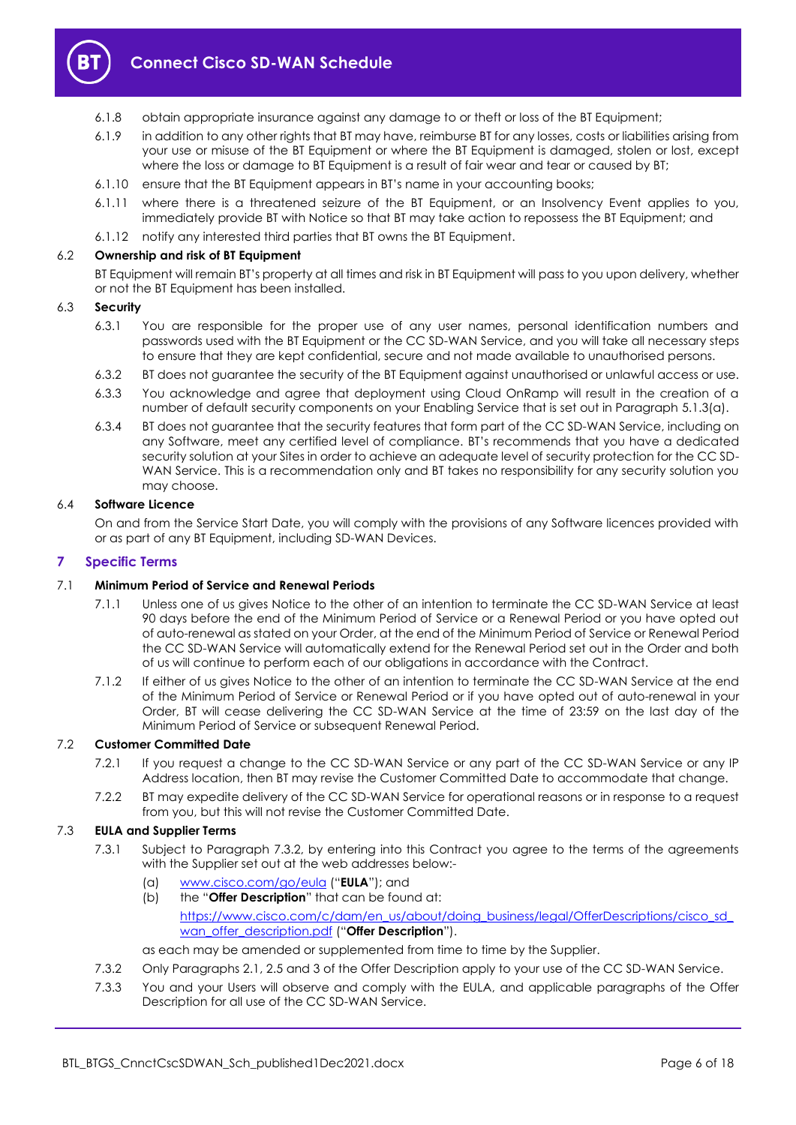

- 6.1.8 obtain appropriate insurance against any damage to or theft or loss of the BT Equipment;
- 6.1.9 in addition to any other rights that BT may have, reimburse BT for any losses, costs or liabilities arising from your use or misuse of the BT Equipment or where the BT Equipment is damaged, stolen or lost, except where the loss or damage to BT Equipment is a result of fair wear and tear or caused by BT;
- 6.1.10 ensure that the BT Equipment appears in BT's name in your accounting books;
- 6.1.11 where there is a threatened seizure of the BT Equipment, or an Insolvency Event applies to you, immediately provide BT with Notice so that BT may take action to repossess the BT Equipment; and
- 6.1.12 notify any interested third parties that BT owns the BT Equipment.

#### 6.2 **Ownership and risk of BT Equipment**

BT Equipment will remain BT's property at all times and risk in BT Equipment will pass to you upon delivery, whether or not the BT Equipment has been installed.

#### 6.3 **Security**

- 6.3.1 You are responsible for the proper use of any user names, personal identification numbers and passwords used with the BT Equipment or the CC SD-WAN Service, and you will take all necessary steps to ensure that they are kept confidential, secure and not made available to unauthorised persons.
- 6.3.2 BT does not guarantee the security of the BT Equipment against unauthorised or unlawful access or use.
- 6.3.3 You acknowledge and agree that deployment using Cloud OnRamp will result in the creation of a number of default security components on your Enabling Service that is set out in Paragraph [5.1.3\(a\).](#page-4-5)
- 6.3.4 BT does not guarantee that the security features that form part of the CC SD-WAN Service, including on any Software, meet any certified level of compliance. BT's recommends that you have a dedicated security solution at your Sites in order to achieve an adequate level of security protection for the CC SD-WAN Service. This is a recommendation only and BT takes no responsibility for any security solution you may choose.

#### 6.4 **Software Licence**

On and from the Service Start Date, you will comply with the provisions of any Software licences provided with or as part of any BT Equipment, including SD-WAN Devices.

#### <span id="page-5-0"></span>**7 Specific Terms**

## 7.1 **Minimum Period of Service and Renewal Periods**

- 7.1.1 Unless one of us gives Notice to the other of an intention to terminate the CC SD-WAN Service at least 90 days before the end of the Minimum Period of Service or a Renewal Period or you have opted out of auto-renewal as stated on your Order, at the end of the Minimum Period of Service or Renewal Period the CC SD-WAN Service will automatically extend for the Renewal Period set out in the Order and both of us will continue to perform each of our obligations in accordance with the Contract.
- 7.1.2 If either of us gives Notice to the other of an intention to terminate the CC SD-WAN Service at the end of the Minimum Period of Service or Renewal Period or if you have opted out of auto-renewal in your Order, BT will cease delivering the CC SD-WAN Service at the time of 23:59 on the last day of the Minimum Period of Service or subsequent Renewal Period.

#### <span id="page-5-2"></span>7.2 **Customer Committed Date**

- 7.2.1 If you request a change to the CC SD-WAN Service or any part of the CC SD-WAN Service or any IP Address location, then BT may revise the Customer Committed Date to accommodate that change.
- 7.2.2 BT may expedite delivery of the CC SD-WAN Service for operational reasons or in response to a request from you, but this will not revise the Customer Committed Date.

#### 7.3 **EULA and Supplier Terms**

- 7.3.1 Subject to Paragraph [7.3.2,](#page-5-1) by entering into this Contract you agree to the terms of the agreements with the Supplier set out at the web addresses below:-
	- (a) [www.cisco.com/go/eula](http://www.cisco.com/go/eula) ("**EULA**"); and
	- (b) the "**Offer Description**" that can be found at: [https://www.cisco.com/c/dam/en\\_us/about/doing\\_business/legal/OfferDescriptions/cisco\\_sd\\_](https://www.cisco.com/c/dam/en_us/about/doing_business/legal/OfferDescriptions/cisco_sd_wan_offer_description.pdf) [wan\\_offer\\_description.pdf](https://www.cisco.com/c/dam/en_us/about/doing_business/legal/OfferDescriptions/cisco_sd_wan_offer_description.pdf) ("Offer Description").

as each may be amended or supplemented from time to time by the Supplier.

- <span id="page-5-1"></span>7.3.2 Only Paragraph[s 2.1,](#page-1-6) [2.5](#page-2-0) and [3](#page-3-0) of the Offer Description apply to your use of the CC SD-WAN Service.
- 7.3.3 You and your Users will observe and comply with the EULA, and applicable paragraphs of the Offer Description for all use of the CC SD-WAN Service.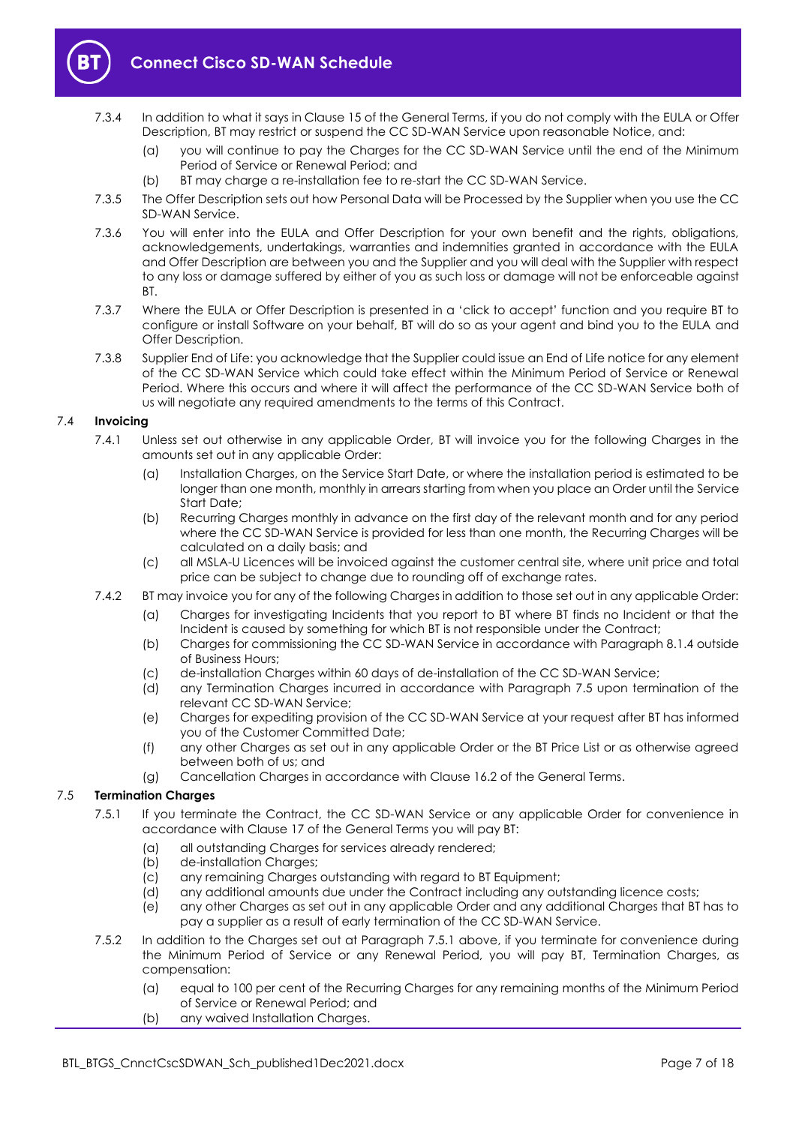

- 7.3.4 In addition to what it says in Clause 15 of the General Terms, if you do not comply with the EULA or Offer Description, BT may restrict or suspend the CC SD-WAN Service upon reasonable Notice, and:
	- (a) you will continue to pay the Charges for the CC SD-WAN Service until the end of the Minimum Period of Service or Renewal Period; and
	- (b) BT may charge a re-installation fee to re-start the CC SD-WAN Service.
- 7.3.5 The Offer Description sets out how Personal Data will be Processed by the Supplier when you use the CC SD-WAN Service.
- 7.3.6 You will enter into the EULA and Offer Description for your own benefit and the rights, obligations, acknowledgements, undertakings, warranties and indemnities granted in accordance with the EULA and Offer Description are between you and the Supplier and you will deal with the Supplier with respect to any loss or damage suffered by either of you as such loss or damage will not be enforceable against BT.
- 7.3.7 Where the EULA or Offer Description is presented in a 'click to accept' function and you require BT to configure or install Software on your behalf, BT will do so as your agent and bind you to the EULA and Offer Description.
- 7.3.8 Supplier End of Life: you acknowledge that the Supplier could issue an End of Life notice for any element of the CC SD-WAN Service which could take effect within the Minimum Period of Service or Renewal Period. Where this occurs and where it will affect the performance of the CC SD-WAN Service both of us will negotiate any required amendments to the terms of this Contract.

## 7.4 **Invoicing**

- 7.4.1 Unless set out otherwise in any applicable Order, BT will invoice you for the following Charges in the amounts set out in any applicable Order:
	- (a) Installation Charges, on the Service Start Date, or where the installation period is estimated to be longer than one month, monthly in arrears starting from when you place an Order until the Service Start Date;
	- (b) Recurring Charges monthly in advance on the first day of the relevant month and for any period where the CC SD-WAN Service is provided for less than one month, the Recurring Charges will be calculated on a daily basis; and
	- (c) all MSLA-U Licences will be invoiced against the customer central site, where unit price and total price can be subject to change due to rounding off of exchange rates.
- 7.4.2 BT may invoice you for any of the following Charges in addition to those set out in any applicable Order:
	- (a) Charges for investigating Incidents that you report to BT where BT finds no Incident or that the Incident is caused by something for which BT is not responsible under the Contract;
	- (b) Charges for commissioning the CC SD-WAN Service in accordance with Paragrap[h 8.1.4](#page-9-3) outside of Business Hours;
	- (c) de-installation Charges within 60 days of de-installation of the CC SD-WAN Service;
	- (d) any Termination Charges incurred in accordance with Paragraph [7.5](#page-6-0) upon termination of the relevant CC SD-WAN Service;
	- (e) Charges for expediting provision of the CC SD-WAN Service at your request after BT has informed you of the Customer Committed Date;
	- (f) any other Charges as set out in any applicable Order or the BT Price List or as otherwise agreed between both of us; and
	- (g) Cancellation Charges in accordance with Clause 16.2 of the General Terms.

# <span id="page-6-1"></span><span id="page-6-0"></span>7.5 **Termination Charges**

- 7.5.1 If you terminate the Contract, the CC SD-WAN Service or any applicable Order for convenience in accordance with Clause 17 of the General Terms you will pay BT:
	- (a) all outstanding Charges for services already rendered;
	- (b) de-installation Charges;
	- (c) any remaining Charges outstanding with regard to BT Equipment;
	- (d) any additional amounts due under the Contract including any outstanding licence costs;
	- (e) any other Charges as set out in any applicable Order and any additional Charges that BT has to pay a supplier as a result of early termination of the CC SD-WAN Service.
- 7.5.2 In addition to the Charges set out at Paragraph [7.5.1](#page-6-1) above, if you terminate for convenience during the Minimum Period of Service or any Renewal Period, you will pay BT, Termination Charges, as compensation:
	- (a) equal to 100 per cent of the Recurring Charges for any remaining months of the Minimum Period of Service or Renewal Period; and
	- (b) any waived Installation Charges.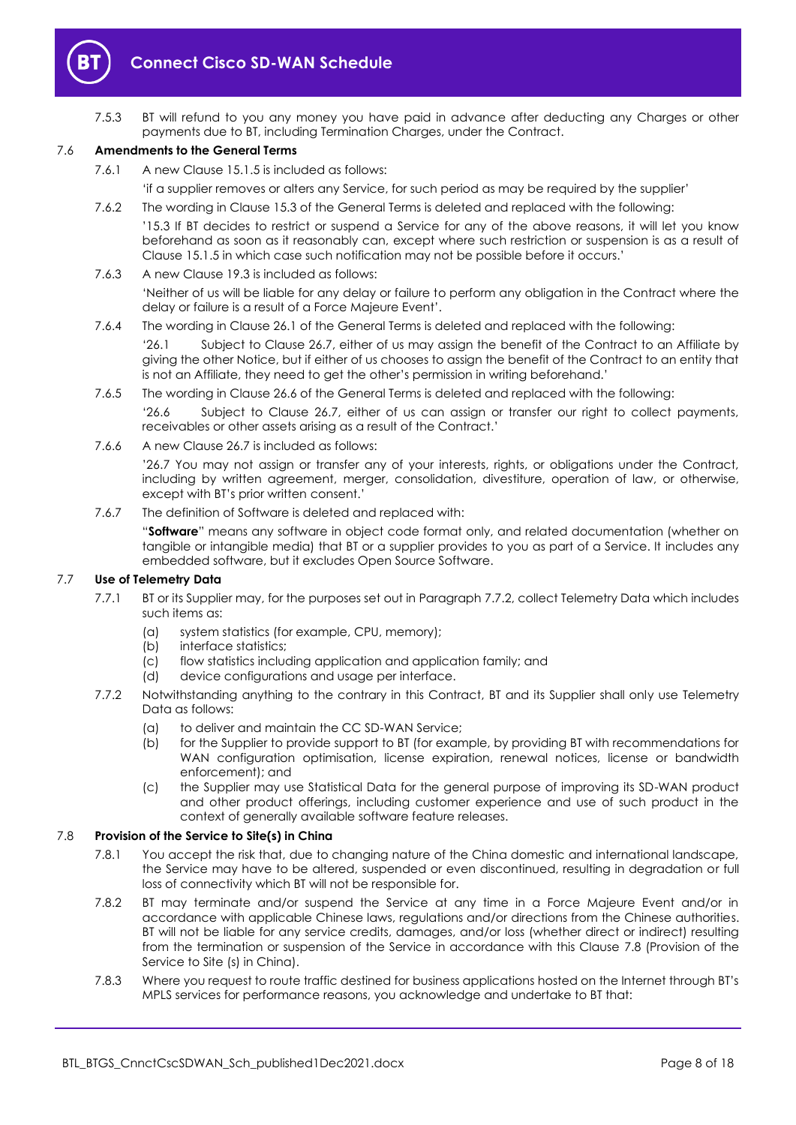

7.5.3 BT will refund to you any money you have paid in advance after deducting any Charges or other payments due to BT, including Termination Charges, under the Contract.

#### 7.6 **Amendments to the General Terms**

7.6.1 A new Clause 15.1.5 is included as follows:

'if a supplier removes or alters any Service, for such period as may be required by the supplier'

- 7.6.2 The wording in Clause 15.3 of the General Terms is deleted and replaced with the following: '15.3 If BT decides to restrict or suspend a Service for any of the above reasons, it will let you know beforehand as soon as it reasonably can, except where such restriction or suspension is as a result of Clause 15.1.5 in which case such notification may not be possible before it occurs.'
- 7.6.3 A new Clause 19.3 is included as follows:

'Neither of us will be liable for any delay or failure to perform any obligation in the Contract where the delay or failure is a result of a Force Majeure Event'.

7.6.4 The wording in Clause 26.1 of the General Terms is deleted and replaced with the following:

'26.1 Subject to Clause 26.7, either of us may assign the benefit of the Contract to an Affiliate by giving the other Notice, but if either of us chooses to assign the benefit of the Contract to an entity that is not an Affiliate, they need to get the other's permission in writing beforehand.'

7.6.5 The wording in Clause 26.6 of the General Terms is deleted and replaced with the following:

'26.6 Subject to Clause 26.7, either of us can assign or transfer our right to collect payments, receivables or other assets arising as a result of the Contract.'

7.6.6 A new Clause 26.7 is included as follows:

'26.7 You may not assign or transfer any of your interests, rights, or obligations under the Contract, including by written agreement, merger, consolidation, divestiture, operation of law, or otherwise, except with BT's prior written consent.'

7.6.7 The definition of Software is deleted and replaced with:

"**Software**" means any software in object code format only, and related documentation (whether on tangible or intangible media) that BT or a supplier provides to you as part of a Service. It includes any embedded software, but it excludes Open Source Software.

#### 7.7 **Use of Telemetry Data**

- 7.7.1 BT or its Supplier may, for the purposes set out in Paragrap[h 7.7.2,](#page-7-0) collect Telemetry Data which includes such items as:
	- (a) system statistics (for example, CPU, memory);
	- (b) interface statistics;
	- (c) flow statistics including application and application family; and
	- (d) device configurations and usage per interface.
- <span id="page-7-0"></span>7.7.2 Notwithstanding anything to the contrary in this Contract, BT and its Supplier shall only use Telemetry Data as follows:
	- (a) to deliver and maintain the CC SD-WAN Service;
	- (b) for the Supplier to provide support to BT (for example, by providing BT with recommendations for WAN configuration optimisation, license expiration, renewal notices, license or bandwidth enforcement); and
	- (c) the Supplier may use Statistical Data for the general purpose of improving its SD-WAN product and other product offerings, including customer experience and use of such product in the context of generally available software feature releases.

#### <span id="page-7-1"></span>7.8 **Provision of the Service to Site(s) in China**

- 7.8.1 You accept the risk that, due to changing nature of the China domestic and international landscape, the Service may have to be altered, suspended or even discontinued, resulting in degradation or full loss of connectivity which BT will not be responsible for.
- 7.8.2 BT may terminate and/or suspend the Service at any time in a Force Majeure Event and/or in accordance with applicable Chinese laws, regulations and/or directions from the Chinese authorities. BT will not be liable for any service credits, damages, and/or loss (whether direct or indirect) resulting from the termination or suspension of the Service in accordance with this Clause [7.8](#page-7-1) (Provision of the Service to Site (s) in China).
- 7.8.3 Where you request to route traffic destined for business applications hosted on the Internet through BT's MPLS services for performance reasons, you acknowledge and undertake to BT that: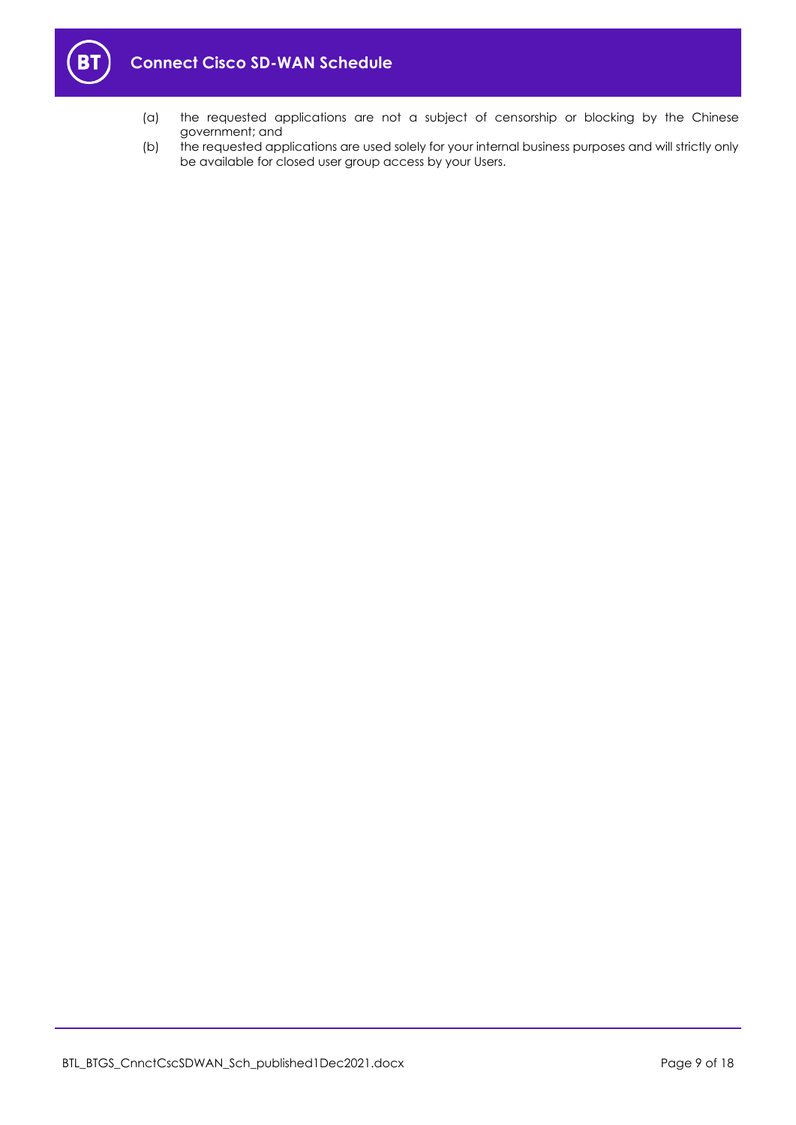

- (a) the requested applications are not a subject of censorship or blocking by the Chinese government; and
- (b) the requested applications are used solely for your internal business purposes and will strictly only be available for closed user group access by your Users.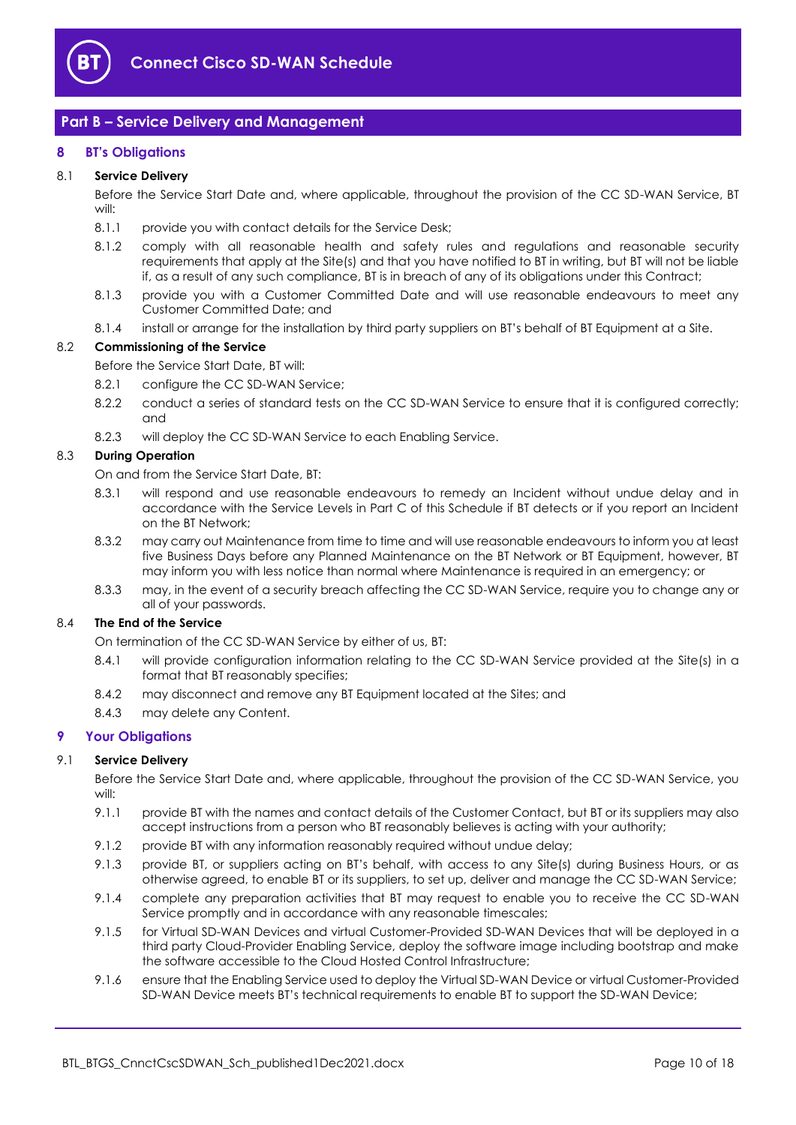

# <span id="page-9-0"></span>**Part B – Service Delivery and Management**

## <span id="page-9-1"></span>**8 BT's Obligations**

#### 8.1 **Service Delivery**

Before the Service Start Date and, where applicable, throughout the provision of the CC SD-WAN Service, BT will:

- 8.1.1 provide you with contact details for the Service Desk;
- 8.1.2 comply with all reasonable health and safety rules and regulations and reasonable security requirements that apply at the Site(s) and that you have notified to BT in writing, but BT will not be liable if, as a result of any such compliance, BT is in breach of any of its obligations under this Contract;
- 8.1.3 provide you with a Customer Committed Date and will use reasonable endeavours to meet any Customer Committed Date; and
- 8.1.4 install or arrange for the installation by third party suppliers on BT's behalf of BT Equipment at a Site.

#### <span id="page-9-3"></span>8.2 **Commissioning of the Service**

Before the Service Start Date, BT will:

- 8.2.1 configure the CC SD-WAN Service;
- 8.2.2 conduct a series of standard tests on the CC SD-WAN Service to ensure that it is configured correctly; and
- 8.2.3 will deploy the CC SD-WAN Service to each Enabling Service.

## 8.3 **During Operation**

On and from the Service Start Date, BT:

- 8.3.1 will respond and use reasonable endeavours to remedy an Incident without undue delay and in accordance with the Service Levels in Part C of this Schedule if BT detects or if you report an Incident on the BT Network;
- 8.3.2 may carry out Maintenance from time to time and will use reasonable endeavours to inform you at least five Business Days before any Planned Maintenance on the BT Network or BT Equipment, however, BT may inform you with less notice than normal where Maintenance is required in an emergency; or
- 8.3.3 may, in the event of a security breach affecting the CC SD-WAN Service, require you to change any or all of your passwords.

#### 8.4 **The End of the Service**

On termination of the CC SD-WAN Service by either of us, BT:

- 8.4.1 will provide configuration information relating to the CC SD-WAN Service provided at the Site(s) in a format that BT reasonably specifies;
- 8.4.2 may disconnect and remove any BT Equipment located at the Sites; and
- 8.4.3 may delete any Content.

# <span id="page-9-2"></span>**9 Your Obligations**

#### 9.1 **Service Delivery**

Before the Service Start Date and, where applicable, throughout the provision of the CC SD-WAN Service, you will:

- 9.1.1 provide BT with the names and contact details of the Customer Contact, but BT or its suppliers may also accept instructions from a person who BT reasonably believes is acting with your authority;
- 9.1.2 provide BT with any information reasonably required without undue delay;
- 9.1.3 provide BT, or suppliers acting on BT's behalf, with access to any Site(s) during Business Hours, or as otherwise agreed, to enable BT or its suppliers, to set up, deliver and manage the CC SD-WAN Service;
- 9.1.4 complete any preparation activities that BT may request to enable you to receive the CC SD-WAN Service promptly and in accordance with any reasonable timescales;
- 9.1.5 for Virtual SD-WAN Devices and virtual Customer-Provided SD-WAN Devices that will be deployed in a third party Cloud-Provider Enabling Service, deploy the software image including bootstrap and make the software accessible to the Cloud Hosted Control Infrastructure;
- 9.1.6 ensure that the Enabling Service used to deploy the Virtual SD-WAN Device or virtual Customer-Provided SD-WAN Device meets BT's technical requirements to enable BT to support the SD-WAN Device;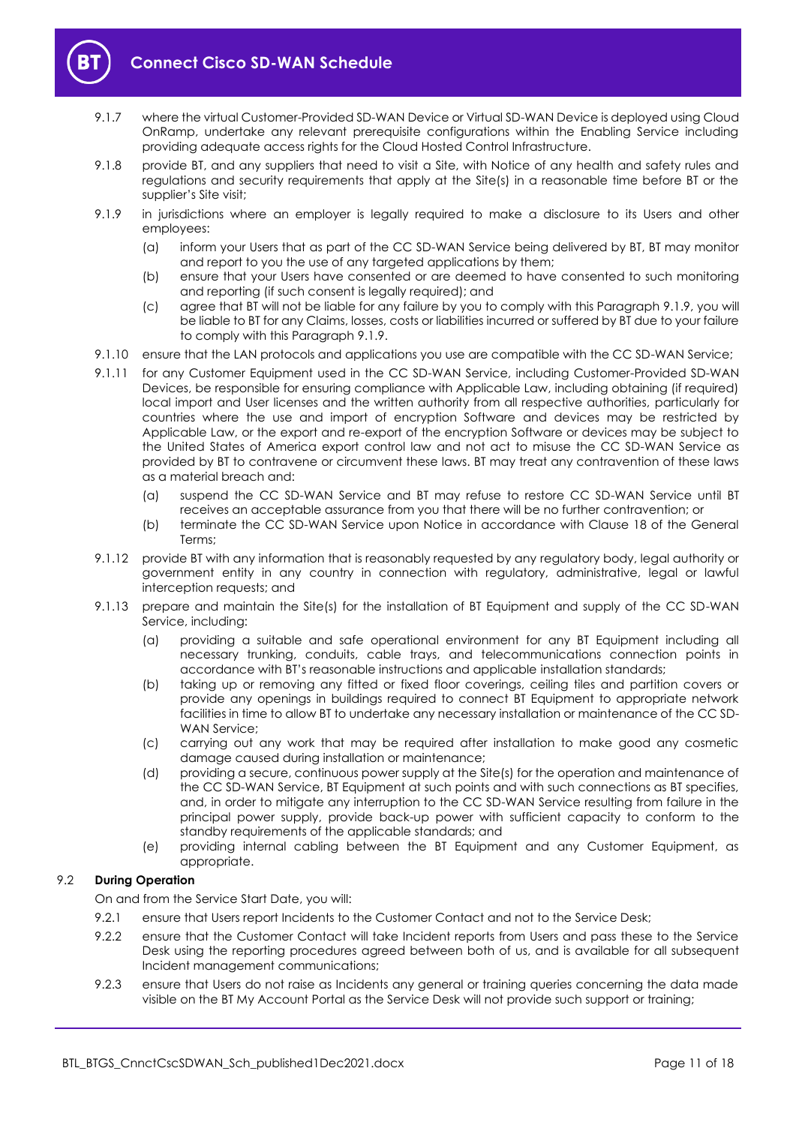

- 9.1.7 where the virtual Customer-Provided SD-WAN Device or Virtual SD-WAN Device is deployed using Cloud OnRamp, undertake any relevant prerequisite configurations within the Enabling Service including providing adequate access rights for the Cloud Hosted Control Infrastructure.
- 9.1.8 provide BT, and any suppliers that need to visit a Site, with Notice of any health and safety rules and regulations and security requirements that apply at the Site(s) in a reasonable time before BT or the supplier's Site visit;
- <span id="page-10-0"></span>9.1.9 in jurisdictions where an employer is legally required to make a disclosure to its Users and other employees:
	- (a) inform your Users that as part of the CC SD-WAN Service being delivered by BT, BT may monitor and report to you the use of any targeted applications by them;
	- (b) ensure that your Users have consented or are deemed to have consented to such monitoring and reporting (if such consent is legally required); and
	- (c) agree that BT will not be liable for any failure by you to comply with this Paragraph [9.1.9,](#page-10-0) you will be liable to BT for any Claims, losses, costs or liabilities incurred or suffered by BT due to your failure to comply with this Paragrap[h 9.1.9.](#page-10-0)
- 9.1.10 ensure that the LAN protocols and applications you use are compatible with the CC SD-WAN Service;
- 9.1.11 for any Customer Equipment used in the CC SD-WAN Service, including Customer-Provided SD-WAN Devices, be responsible for ensuring compliance with Applicable Law, including obtaining (if required) local import and User licenses and the written authority from all respective authorities, particularly for countries where the use and import of encryption Software and devices may be restricted by Applicable Law, or the export and re-export of the encryption Software or devices may be subject to the United States of America export control law and not act to misuse the CC SD-WAN Service as provided by BT to contravene or circumvent these laws. BT may treat any contravention of these laws as a material breach and:
	- (a) suspend the CC SD-WAN Service and BT may refuse to restore CC SD-WAN Service until BT receives an acceptable assurance from you that there will be no further contravention; or
	- (b) terminate the CC SD-WAN Service upon Notice in accordance with Clause 18 of the General Terms;
- 9.1.12 provide BT with any information that is reasonably requested by any regulatory body, legal authority or government entity in any country in connection with regulatory, administrative, legal or lawful interception requests; and
- 9.1.13 prepare and maintain the Site(s) for the installation of BT Equipment and supply of the CC SD-WAN Service, including:
	- (a) providing a suitable and safe operational environment for any BT Equipment including all necessary trunking, conduits, cable trays, and telecommunications connection points in accordance with BT's reasonable instructions and applicable installation standards;
	- (b) taking up or removing any fitted or fixed floor coverings, ceiling tiles and partition covers or provide any openings in buildings required to connect BT Equipment to appropriate network facilities in time to allow BT to undertake any necessary installation or maintenance of the CC SD-WAN Service;
	- (c) carrying out any work that may be required after installation to make good any cosmetic damage caused during installation or maintenance;
	- (d) providing a secure, continuous power supply at the Site(s) for the operation and maintenance of the CC SD-WAN Service, BT Equipment at such points and with such connections as BT specifies, and, in order to mitigate any interruption to the CC SD-WAN Service resulting from failure in the principal power supply, provide back-up power with sufficient capacity to conform to the standby requirements of the applicable standards; and
	- (e) providing internal cabling between the BT Equipment and any Customer Equipment, as appropriate.

# 9.2 **During Operation**

On and from the Service Start Date, you will:

- 9.2.1 ensure that Users report Incidents to the Customer Contact and not to the Service Desk;
- 9.2.2 ensure that the Customer Contact will take Incident reports from Users and pass these to the Service Desk using the reporting procedures agreed between both of us, and is available for all subsequent Incident management communications;
- 9.2.3 ensure that Users do not raise as Incidents any general or training queries concerning the data made visible on the BT My Account Portal as the Service Desk will not provide such support or training;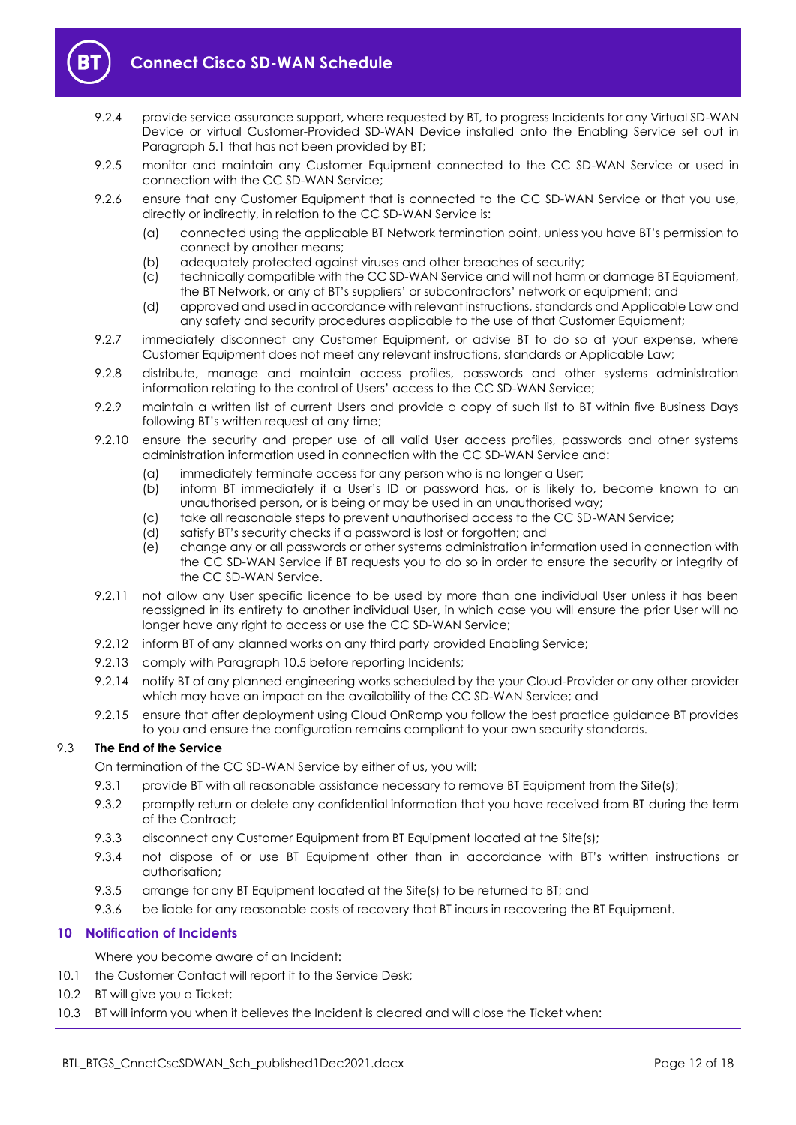

- 9.2.4 provide service assurance support, where requested by BT, to progress Incidents for any Virtual SD-WAN Device or virtual Customer-Provided SD-WAN Device installed onto the Enabling Service set out in Paragrap[h 5.1](#page-4-6) that has not been provided by BT;
- 9.2.5 monitor and maintain any Customer Equipment connected to the CC SD-WAN Service or used in connection with the CC SD-WAN Service;
- 9.2.6 ensure that any Customer Equipment that is connected to the CC SD-WAN Service or that you use, directly or indirectly, in relation to the CC SD-WAN Service is:
	- (a) connected using the applicable BT Network termination point, unless you have BT's permission to connect by another means;
	- (b) adequately protected against viruses and other breaches of security;
	- (c) technically compatible with the CC SD-WAN Service and will not harm or damage BT Equipment, the BT Network, or any of BT's suppliers' or subcontractors' network or equipment; and
	- (d) approved and used in accordance with relevant instructions, standards and Applicable Law and any safety and security procedures applicable to the use of that Customer Equipment;
- 9.2.7 immediately disconnect any Customer Equipment, or advise BT to do so at your expense, where Customer Equipment does not meet any relevant instructions, standards or Applicable Law;
- 9.2.8 distribute, manage and maintain access profiles, passwords and other systems administration information relating to the control of Users' access to the CC SD-WAN Service;
- 9.2.9 maintain a written list of current Users and provide a copy of such list to BT within five Business Days following BT's written request at any time;
- 9.2.10 ensure the security and proper use of all valid User access profiles, passwords and other systems administration information used in connection with the CC SD-WAN Service and:
	- (a) immediately terminate access for any person who is no longer a User;
	- (b) inform BT immediately if a User's ID or password has, or is likely to, become known to an unauthorised person, or is being or may be used in an unauthorised way;
	- (c) take all reasonable steps to prevent unauthorised access to the CC SD-WAN Service;
	- (d) satisfy BT's security checks if a password is lost or forgotten; and
	- (e) change any or all passwords or other systems administration information used in connection with the CC SD-WAN Service if BT requests you to do so in order to ensure the security or integrity of the CC SD-WAN Service.
- 9.2.11 not allow any User specific licence to be used by more than one individual User unless it has been reassigned in its entirety to another individual User, in which case you will ensure the prior User will no longer have any right to access or use the CC SD-WAN Service;
- 9.2.12 inform BT of any planned works on any third party provided Enabling Service;
- 9.2.13 comply with Paragrap[h 10.5](#page-12-0) before reporting Incidents;
- 9.2.14 notify BT of any planned engineering works scheduled by the your Cloud-Provider or any other provider which may have an impact on the availability of the CC SD-WAN Service; and
- 9.2.15 ensure that after deployment using Cloud OnRamp you follow the best practice guidance BT provides to you and ensure the configuration remains compliant to your own security standards.

# 9.3 **The End of the Service**

- On termination of the CC SD-WAN Service by either of us, you will:
- 9.3.1 provide BT with all reasonable assistance necessary to remove BT Equipment from the Site(s);
- 9.3.2 promptly return or delete any confidential information that you have received from BT during the term of the Contract;
- 9.3.3 disconnect any Customer Equipment from BT Equipment located at the Site(s);
- 9.3.4 not dispose of or use BT Equipment other than in accordance with BT's written instructions or authorisation;
- 9.3.5 arrange for any BT Equipment located at the Site(s) to be returned to BT; and
- 9.3.6 be liable for any reasonable costs of recovery that BT incurs in recovering the BT Equipment.

# <span id="page-11-0"></span>**10 Notification of Incidents**

Where you become aware of an Incident:

- <span id="page-11-3"></span>10.1 the Customer Contact will report it to the Service Desk;
- <span id="page-11-1"></span>10.2 BT will give you a Ticket;
- <span id="page-11-2"></span>10.3 BT will inform you when it believes the Incident is cleared and will close the Ticket when: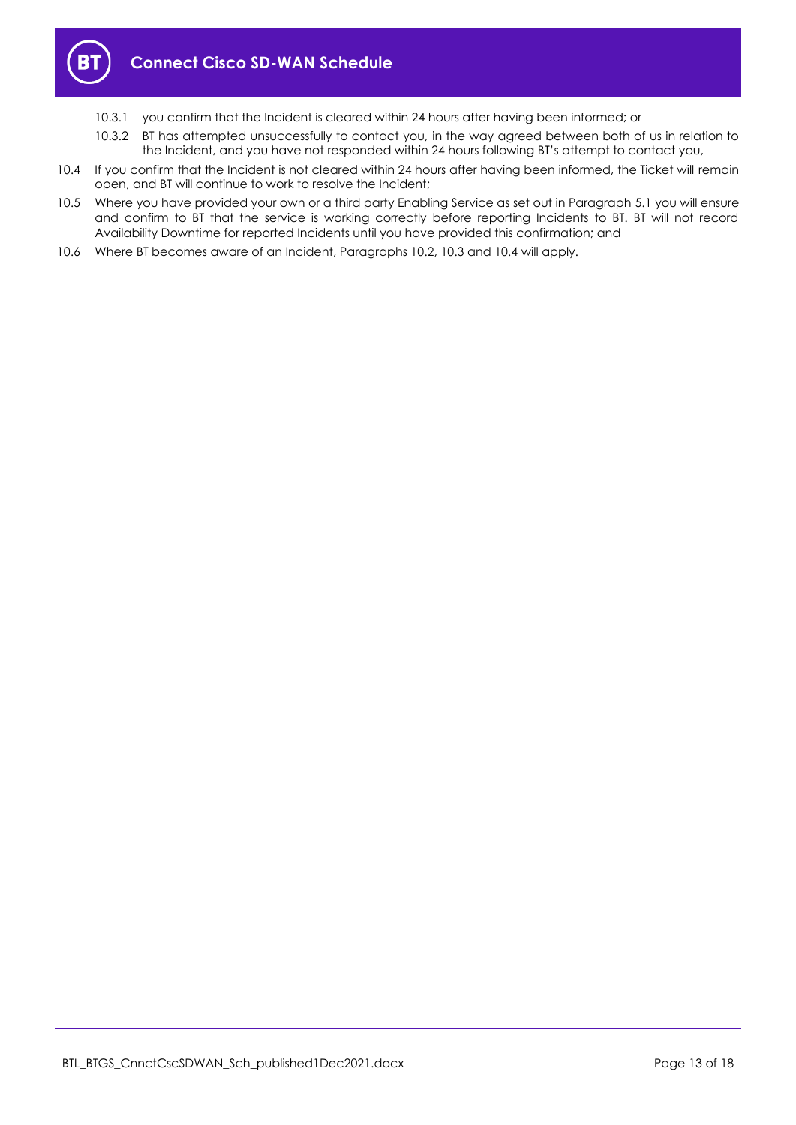

- 10.3.1 you confirm that the Incident is cleared within 24 hours after having been informed; or
- 10.3.2 BT has attempted unsuccessfully to contact you, in the way agreed between both of us in relation to the Incident, and you have not responded within 24 hours following BT's attempt to contact you,
- <span id="page-12-1"></span>10.4 If you confirm that the Incident is not cleared within 24 hours after having been informed, the Ticket will remain open, and BT will continue to work to resolve the Incident;
- <span id="page-12-0"></span>10.5 Where you have provided your own or a third party Enabling Service as set out in Paragraph [5.1](#page-4-6) you will ensure and confirm to BT that the service is working correctly before reporting Incidents to BT. BT will not record Availability Downtime for reported Incidents until you have provided this confirmation; and
- 10.6 Where BT becomes aware of an Incident, Paragraphs [10.2,](#page-11-1) [10.3](#page-11-2) and [10.4](#page-12-1) will apply.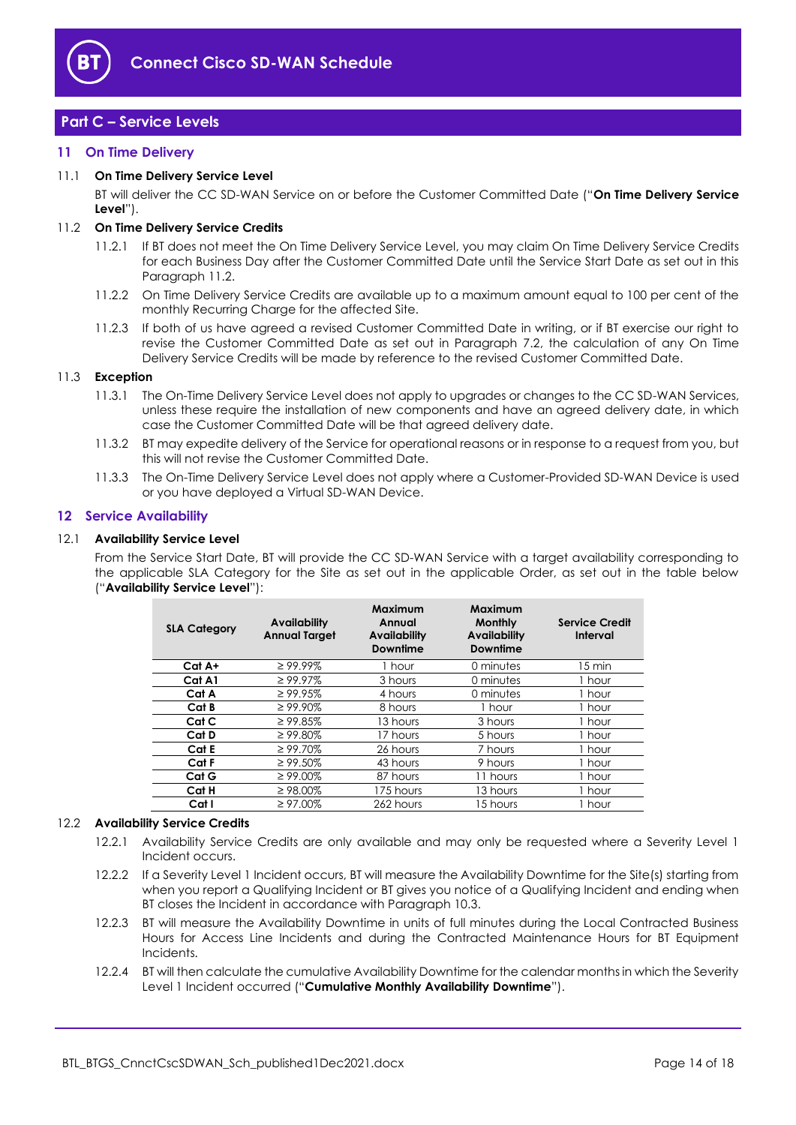

# <span id="page-13-0"></span>**Part C – Service Levels**

# <span id="page-13-1"></span>**11 On Time Delivery**

#### <span id="page-13-7"></span>11.1 **On Time Delivery Service Level**

BT will deliver the CC SD-WAN Service on or before the Customer Committed Date ("**On Time Delivery Service Level**").

#### <span id="page-13-3"></span>11.2 **On Time Delivery Service Credits**

- 11.2.1 If BT does not meet the On Time Delivery Service Level, you may claim On Time Delivery Service Credits for each Business Day after the Customer Committed Date until the Service Start Date as set out in this Paragrap[h 11.2.](#page-13-3)
- 11.2.2 On Time Delivery Service Credits are available up to a maximum amount equal to 100 per cent of the monthly Recurring Charge for the affected Site.
- 11.2.3 If both of us have agreed a revised Customer Committed Date in writing, or if BT exercise our right to revise the Customer Committed Date as set out in Paragraph [7.2,](#page-5-2) the calculation of any On Time Delivery Service Credits will be made by reference to the revised Customer Committed Date.

#### 11.3 **Exception**

- 11.3.1 The On-Time Delivery Service Level does not apply to upgrades or changes to the CC SD-WAN Services, unless these require the installation of new components and have an agreed delivery date, in which case the Customer Committed Date will be that agreed delivery date.
- 11.3.2 BT may expedite delivery of the Service for operational reasons or in response to a request from you, but this will not revise the Customer Committed Date.
- 11.3.3 The On-Time Delivery Service Level does not apply where a Customer-Provided SD-WAN Device is used or you have deployed a Virtual SD-WAN Device.

#### <span id="page-13-2"></span>**12 Service Availability**

#### <span id="page-13-4"></span>12.1 **Availability Service Level**

From the Service Start Date, BT will provide the CC SD-WAN Service with a target availability corresponding to the applicable SLA Category for the Site as set out in the applicable Order, as set out in the table below ("**Availability Service Level**"):

| <b>SLA Category</b> | <b>Availability</b><br><b>Annual Target</b> | <b>Maximum</b><br>Annual<br><b>Availability</b><br><b>Downtime</b> | Maximum<br><b>Monthly</b><br><b>Availability</b><br>Downtime | <b>Service Credit</b><br>Interval |
|---------------------|---------------------------------------------|--------------------------------------------------------------------|--------------------------------------------------------------|-----------------------------------|
| Cat A+              | $\geq 99.99\%$                              | 1 hour                                                             | 0 minutes                                                    | $15 \text{ min}$                  |
| Cat A1              | $\geq 99.97\%$                              | 3 hours                                                            | 0 minutes                                                    | 1 hour                            |
| Cat A               | $\geq 99.95\%$                              | 4 hours                                                            | 0 minutes                                                    | 1 hour                            |
| Cat B               | $\geq 99.90\%$                              | 8 hours                                                            | 1 hour                                                       | 1 hour                            |
| Cat C               | $\geq 99.85\%$                              | 13 hours                                                           | 3 hours                                                      | 1 hour                            |
| Cat D               | $\geq 99.80\%$                              | 17 hours                                                           | 5 hours                                                      | 1 hour                            |
| Cat E               | $\geq 99.70\%$                              | 26 hours                                                           | 7 hours                                                      | 1 hour                            |
| Cat F               | $\geq 99.50\%$                              | 43 hours                                                           | 9 hours                                                      | 1 hour                            |
| Cat G               | $\geq 99.00\%$                              | 87 hours                                                           | 11 hours                                                     | 1 hour                            |
| Cat H               | $\geq$ 98.00%                               | 175 hours                                                          | 13 hours                                                     | 1 hour                            |
| Cat I               | $\geq 97.00\%$                              | 262 hours                                                          | 15 hours                                                     | 1 hour                            |

#### <span id="page-13-5"></span>12.2 **Availability Service Credits**

- 12.2.1 Availability Service Credits are only available and may only be requested where a Severity Level 1 Incident occurs.
- 12.2.2 If a Severity Level 1 Incident occurs, BT will measure the Availability Downtime for the Site(s) starting from when you report a Qualifying Incident or BT gives you notice of a Qualifying Incident and ending when BT closes the Incident in accordance with Paragrap[h 10.3.](#page-11-2)
- 12.2.3 BT will measure the Availability Downtime in units of full minutes during the Local Contracted Business Hours for Access Line Incidents and during the Contracted Maintenance Hours for BT Equipment Incidents.
- <span id="page-13-6"></span>12.2.4 BT will then calculate the cumulative Availability Downtime for the calendar months in which the Severity Level 1 Incident occurred ("**Cumulative Monthly Availability Downtime**").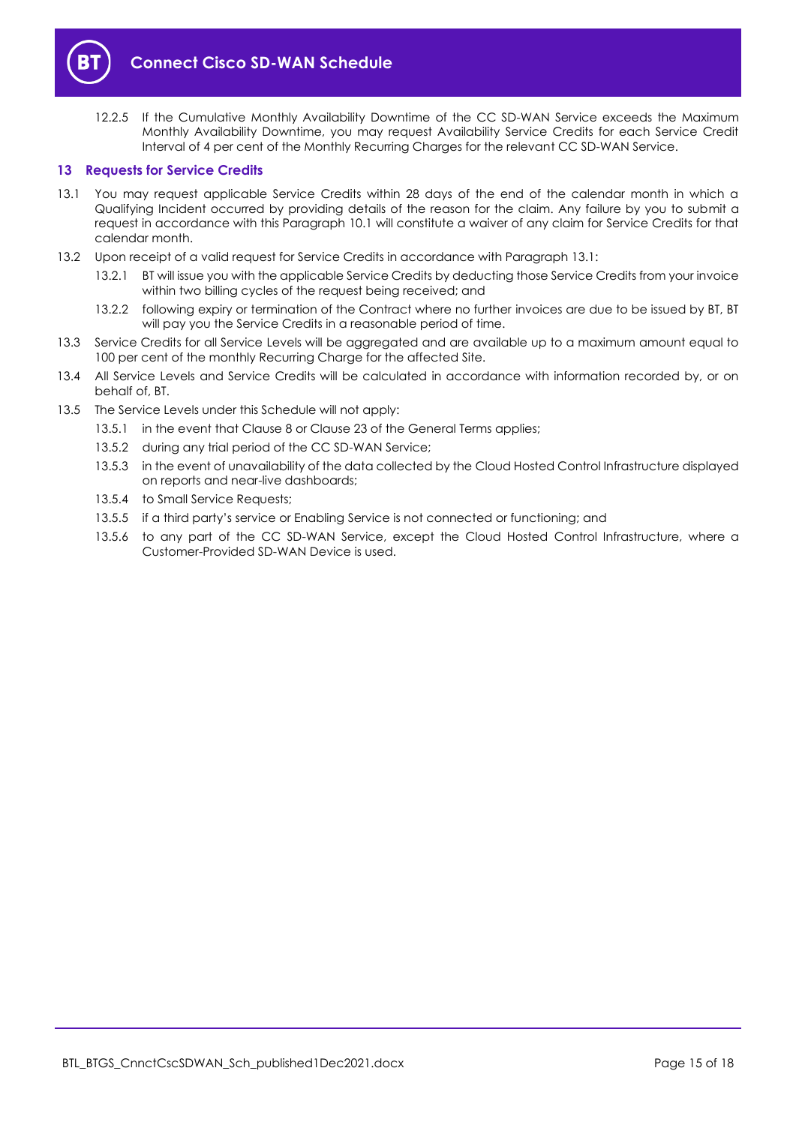

<span id="page-14-2"></span>12.2.5 If the Cumulative Monthly Availability Downtime of the CC SD-WAN Service exceeds the Maximum Monthly Availability Downtime, you may request Availability Service Credits for each Service Credit Interval of 4 per cent of the Monthly Recurring Charges for the relevant CC SD-WAN Service.

#### <span id="page-14-0"></span>**13 Requests for Service Credits**

- <span id="page-14-1"></span>13.1 You may request applicable Service Credits within 28 days of the end of the calendar month in which a Qualifying Incident occurred by providing details of the reason for the claim. Any failure by you to submit a request in accordance with this Paragraph [10.1](#page-11-3) will constitute a waiver of any claim for Service Credits for that calendar month.
- 13.2 Upon receipt of a valid request for Service Credits in accordance with Paragrap[h 13.1:](#page-14-1)
	- 13.2.1 BT will issue you with the applicable Service Credits by deducting those Service Credits from your invoice within two billing cycles of the request being received; and
	- 13.2.2 following expiry or termination of the Contract where no further invoices are due to be issued by BT, BT will pay you the Service Credits in a reasonable period of time.
- 13.3 Service Credits for all Service Levels will be aggregated and are available up to a maximum amount equal to 100 per cent of the monthly Recurring Charge for the affected Site.
- 13.4 All Service Levels and Service Credits will be calculated in accordance with information recorded by, or on behalf of, BT.
- 13.5 The Service Levels under this Schedule will not apply:
	- 13.5.1 in the event that Clause 8 or Clause 23 of the General Terms applies;
	- 13.5.2 during any trial period of the CC SD-WAN Service;
	- 13.5.3 in the event of unavailability of the data collected by the Cloud Hosted Control Infrastructure displayed on reports and near-live dashboards;
	- 13.5.4 to Small Service Requests;
	- 13.5.5 if a third party's service or Enabling Service is not connected or functioning; and
	- 13.5.6 to any part of the CC SD-WAN Service, except the Cloud Hosted Control Infrastructure, where a Customer-Provided SD-WAN Device is used.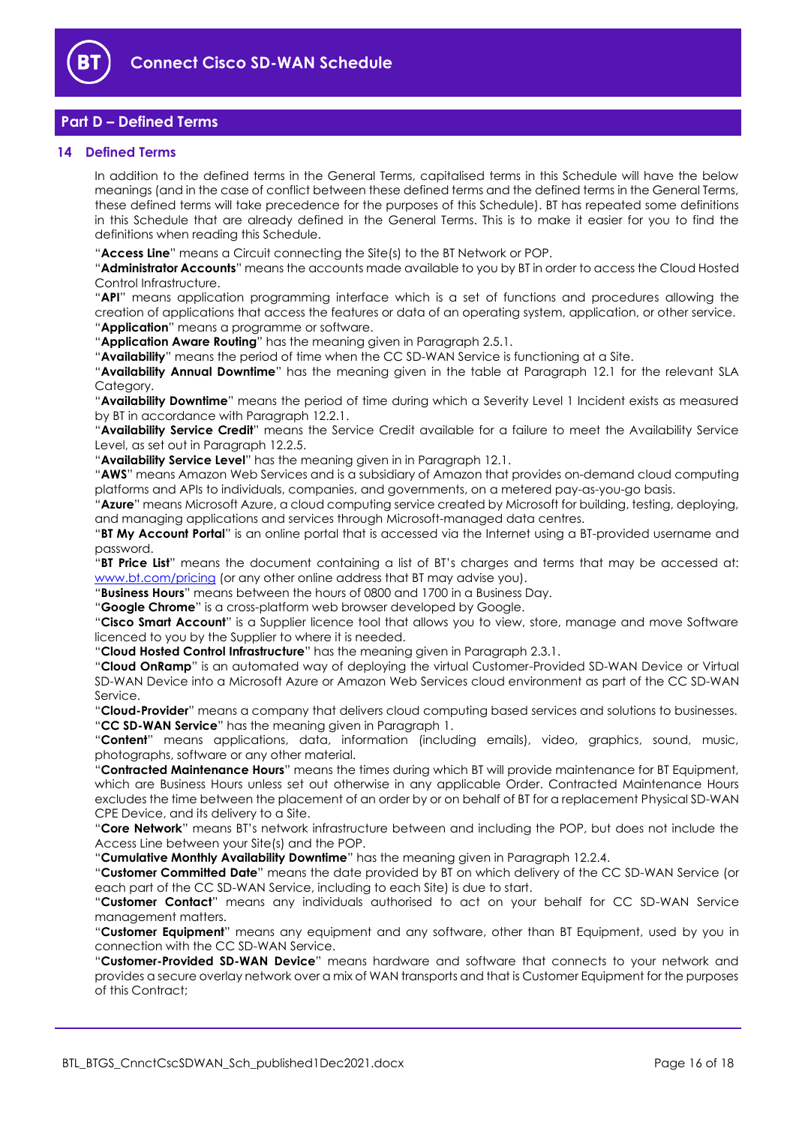

# <span id="page-15-0"></span>**Part D – Defined Terms**

#### <span id="page-15-1"></span>**14 Defined Terms**

In addition to the defined terms in the General Terms, capitalised terms in this Schedule will have the below meanings (and in the case of conflict between these defined terms and the defined terms in the General Terms, these defined terms will take precedence for the purposes of this Schedule). BT has repeated some definitions in this Schedule that are already defined in the General Terms. This is to make it easier for you to find the definitions when reading this Schedule.

"**Access Line**" means a Circuit connecting the Site(s) to the BT Network or POP.

"**Administrator Accounts**" means the accounts made available to you by BT in order to access the Cloud Hosted Control Infrastructure.

"**API**" means application programming interface which is a set of functions and procedures allowing the creation of applications that access the features or data of an operating system, application, or other service. "**Application**" means a programme or software.

"**Application Aware Routing**" has the meaning given in Paragraph [2.5.1.](#page-2-1)

"**Availability**" means the period of time when the CC SD-WAN Service is functioning at a Site.

"**Availability Annual Downtime**" has the meaning given in the table at Paragraph [12.1](#page-13-4) for the relevant SLA Category.

"**Availability Downtime**" means the period of time during which a Severity Level 1 Incident exists as measured by BT in accordance with Paragrap[h 12.2.1.](#page-13-5)

"**Availability Service Credit**" means the Service Credit available for a failure to meet the Availability Service Level, as set out in Paragrap[h 12.2.5.](#page-14-2)

"**Availability Service Level**" has the meaning given in in Paragraph [12.1.](#page-13-4)

"**AWS**" means Amazon Web Services and is a subsidiary of Amazon that provides on-demand cloud computing platforms and APIs to individuals, companies, and governments, on a metered pay-as-you-go basis.

"**Azure**" means Microsoft Azure, a cloud computing service created by Microsoft for building, testing, deploying, and managing applications and services through Microsoft-managed data centres.

"**BT My Account Portal**" is an online portal that is accessed via the Internet using a BT-provided username and password.

"**BT Price List**" means the document containing a list of BT's charges and terms that may be accessed at: [www.bt.com/pricing](http://www.bt.com/pricing) (or any other online address that BT may advise you).

"**Business Hours**" means between the hours of 0800 and 1700 in a Business Day.

"**Google Chrome**" is a cross-platform web browser developed by Google.

"**Cisco Smart Account**" is a Supplier licence tool that allows you to view, store, manage and move Software licenced to you by the Supplier to where it is needed.

"**Cloud Hosted Control Infrastructure**" has the meaning given in Paragraph [2.3.1.](#page-2-2)

"**Cloud OnRamp**" is an automated way of deploying the virtual Customer-Provided SD-WAN Device or Virtual SD-WAN Device into a Microsoft Azure or Amazon Web Services cloud environment as part of the CC SD-WAN Service.

"**Cloud-Provider**" means a company that delivers cloud computing based services and solutions to businesses. "**CC SD-WAN Service**" has the meaning given in Paragraph [1.](#page-1-3)

"**Content**" means applications, data, information (including emails), video, graphics, sound, music, photographs, software or any other material.

"**Contracted Maintenance Hours**" means the times during which BT will provide maintenance for BT Equipment, which are Business Hours unless set out otherwise in any applicable Order. Contracted Maintenance Hours excludes the time between the placement of an order by or on behalf of BT for a replacement Physical SD-WAN CPE Device, and its delivery to a Site.

"**Core Network**" means BT's network infrastructure between and including the POP, but does not include the Access Line between your Site(s) and the POP.

"**Cumulative Monthly Availability Downtime**" has the meaning given in Paragrap[h 12.2.4.](#page-13-6)

"**Customer Committed Date**" means the date provided by BT on which delivery of the CC SD-WAN Service (or each part of the CC SD-WAN Service, including to each Site) is due to start.

"**Customer Contact**" means any individuals authorised to act on your behalf for CC SD-WAN Service management matters.

"**Customer Equipment**" means any equipment and any software, other than BT Equipment, used by you in connection with the CC SD-WAN Service.

"**Customer-Provided SD-WAN Device**" means hardware and software that connects to your network and provides a secure overlay network over a mix of WAN transports and that is Customer Equipment for the purposes of this Contract;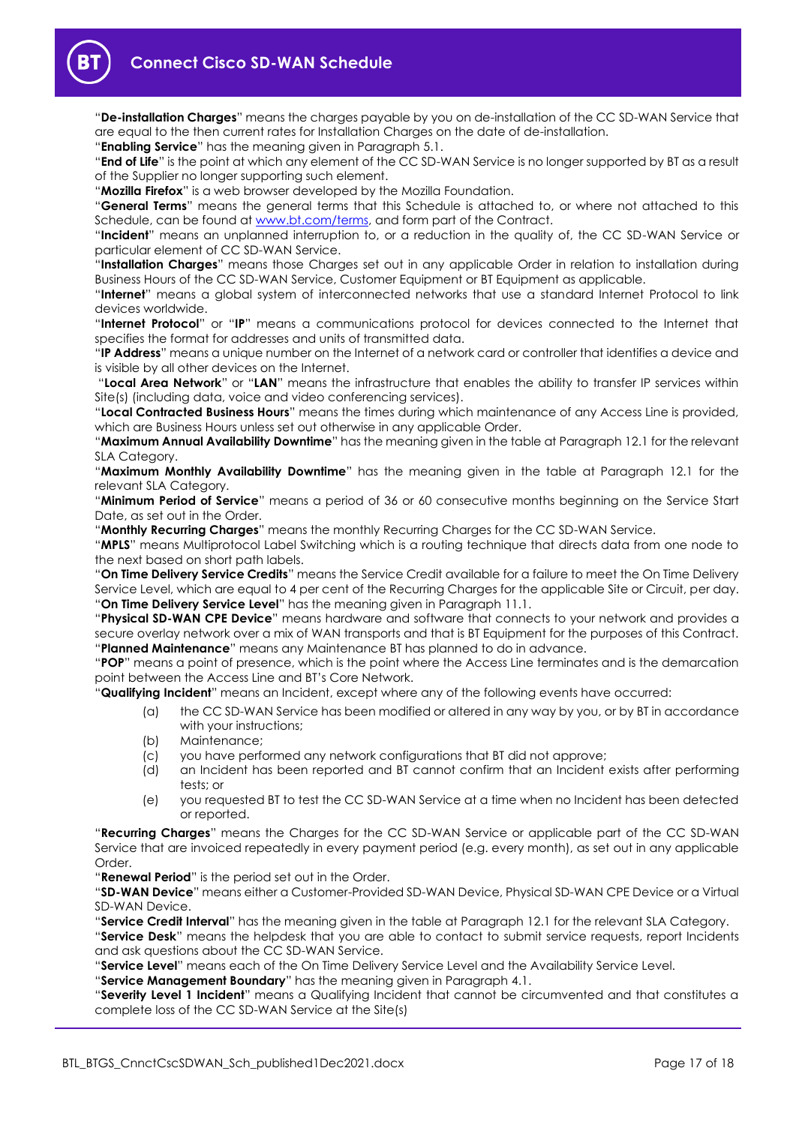

"**De-installation Charges**" means the charges payable by you on de-installation of the CC SD-WAN Service that are equal to the then current rates for Installation Charges on the date of de-installation.

"**Enabling Service**" has the meaning given in Paragrap[h 5.1.](#page-4-6)

"**End of Life**" is the point at which any element of the CC SD-WAN Service is no longer supported by BT as a result of the Supplier no longer supporting such element.

"**Mozilla Firefox**" is a web browser developed by the Mozilla Foundation.

"**General Terms**" means the general terms that this Schedule is attached to, or where not attached to this Schedule, can be found at [www.bt.com/terms,](http://www.bt.com/terms) and form part of the Contract.

"**Incident**" means an unplanned interruption to, or a reduction in the quality of, the CC SD-WAN Service or particular element of CC SD-WAN Service.

"**Installation Charges**" means those Charges set out in any applicable Order in relation to installation during Business Hours of the CC SD-WAN Service, Customer Equipment or BT Equipment as applicable.

"**Internet**" means a global system of interconnected networks that use a standard Internet Protocol to link devices worldwide.

"**Internet Protocol**" or "**IP**" means a communications protocol for devices connected to the Internet that specifies the format for addresses and units of transmitted data.

"**IP Address**" means a unique number on the Internet of a network card or controller that identifies a device and is visible by all other devices on the Internet.

"**Local Area Network**" or "**LAN**" means the infrastructure that enables the ability to transfer IP services within Site(s) (including data, voice and video conferencing services).

"**Local Contracted Business Hours**" means the times during which maintenance of any Access Line is provided, which are Business Hours unless set out otherwise in any applicable Order.

"**Maximum Annual Availability Downtime**" has the meaning given in the table at Paragraph [12.1](#page-13-4) for the relevant SLA Category.

"**Maximum Monthly Availability Downtime**" has the meaning given in the table at Paragraph [12.1](#page-13-4) for the relevant SLA Category.

"**Minimum Period of Service**" means a period of 36 or 60 consecutive months beginning on the Service Start Date, as set out in the Order.

"**Monthly Recurring Charges**" means the monthly Recurring Charges for the CC SD-WAN Service.

"**MPLS**" means Multiprotocol Label Switching which is a routing technique that directs data from one node to the next based on short path labels.

"**On Time Delivery Service Credits**" means the Service Credit available for a failure to meet the On Time Delivery Service Level, which are equal to 4 per cent of the Recurring Charges for the applicable Site or Circuit, per day. "**On Time Delivery Service Level**" has the meaning given in Paragraph [11.1.](#page-13-7)

"**Physical SD-WAN CPE Device**" means hardware and software that connects to your network and provides a secure overlay network over a mix of WAN transports and that is BT Equipment for the purposes of this Contract. "**Planned Maintenance**" means any Maintenance BT has planned to do in advance.

"**POP**" means a point of presence, which is the point where the Access Line terminates and is the demarcation point between the Access Line and BT's Core Network.

"**Qualifying Incident**" means an Incident, except where any of the following events have occurred:

- (a) the CC SD-WAN Service has been modified or altered in any way by you, or by BT in accordance with your instructions;
- (b) Maintenance;
- (c) you have performed any network configurations that BT did not approve;
- (d) an Incident has been reported and BT cannot confirm that an Incident exists after performing tests; or
- (e) you requested BT to test the CC SD-WAN Service at a time when no Incident has been detected or reported.

"**Recurring Charges**" means the Charges for the CC SD-WAN Service or applicable part of the CC SD-WAN Service that are invoiced repeatedly in every payment period (e.g. every month), as set out in any applicable Order.

"**Renewal Period**" is the period set out in the Order.

"**SD-WAN Device**" means either a Customer-Provided SD-WAN Device, Physical SD-WAN CPE Device or a Virtual SD-WAN Device.

"**Service Credit Interval**" has the meaning given in the table at Paragraph [12.1](#page-13-4) for the relevant SLA Category.

"**Service Desk**" means the helpdesk that you are able to contact to submit service requests, report Incidents and ask questions about the CC SD-WAN Service.

"**Service Level**" means each of the On Time Delivery Service Level and the Availability Service Level.

"**Service Management Boundary**" has the meaning given in Paragraph [4.1.](#page-3-2)

"**Severity Level 1 Incident**" means a Qualifying Incident that cannot be circumvented and that constitutes a complete loss of the CC SD-WAN Service at the Site(s)